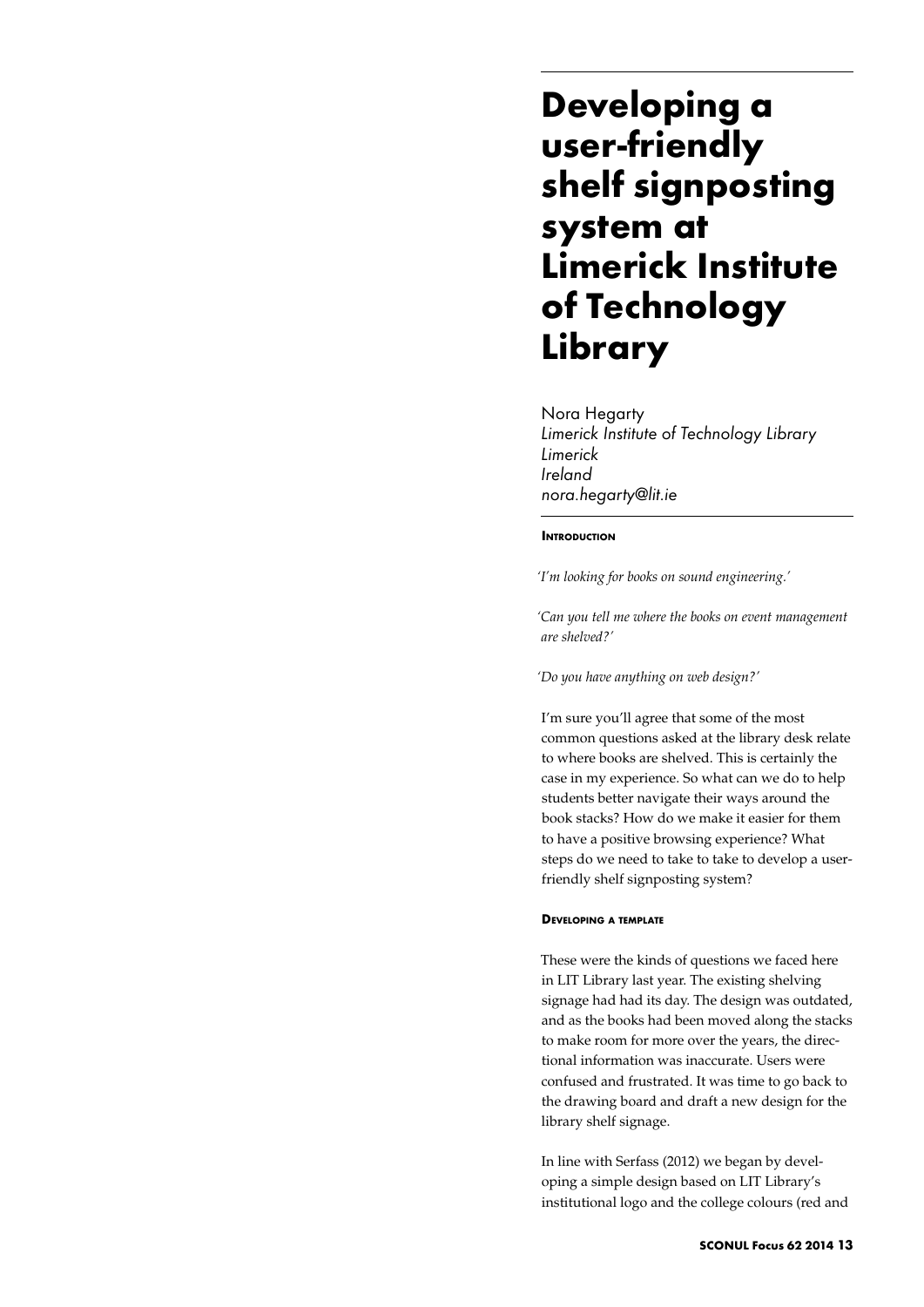# **Developing a user-friendly shelf signposting system at Limerick Institute of Technology Library**

Nora Hegarty *Limerick Institute of Technology Library Limerick Ireland nora.hegarty@lit.ie* 

## **INTRODUCTION**

*'I'm looking for books on sound engineering.'* 

*'Can you tell me where the books on event management are shelved?'* 

*'Do you have anything on web design?'*

I'm sure you'll agree that some of the most common questions asked at the library desk relate to where books are shelved. This is certainly the case in my experience. So what can we do to help students better navigate their ways around the book stacks? How do we make it easier for them to have a positive browsing experience? What steps do we need to take to take to develop a userfriendly shelf signposting system?

#### **Developing a template**

These were the kinds of questions we faced here in LIT Library last year. The existing shelving signage had had its day. The design was outdated, and as the books had been moved along the stacks to make room for more over the years, the directional information was inaccurate. Users were confused and frustrated. It was time to go back to the drawing board and draft a new design for the library shelf signage.

In line with Serfass (2012) we began by developing a simple design based on LIT Library's institutional logo and the college colours (red and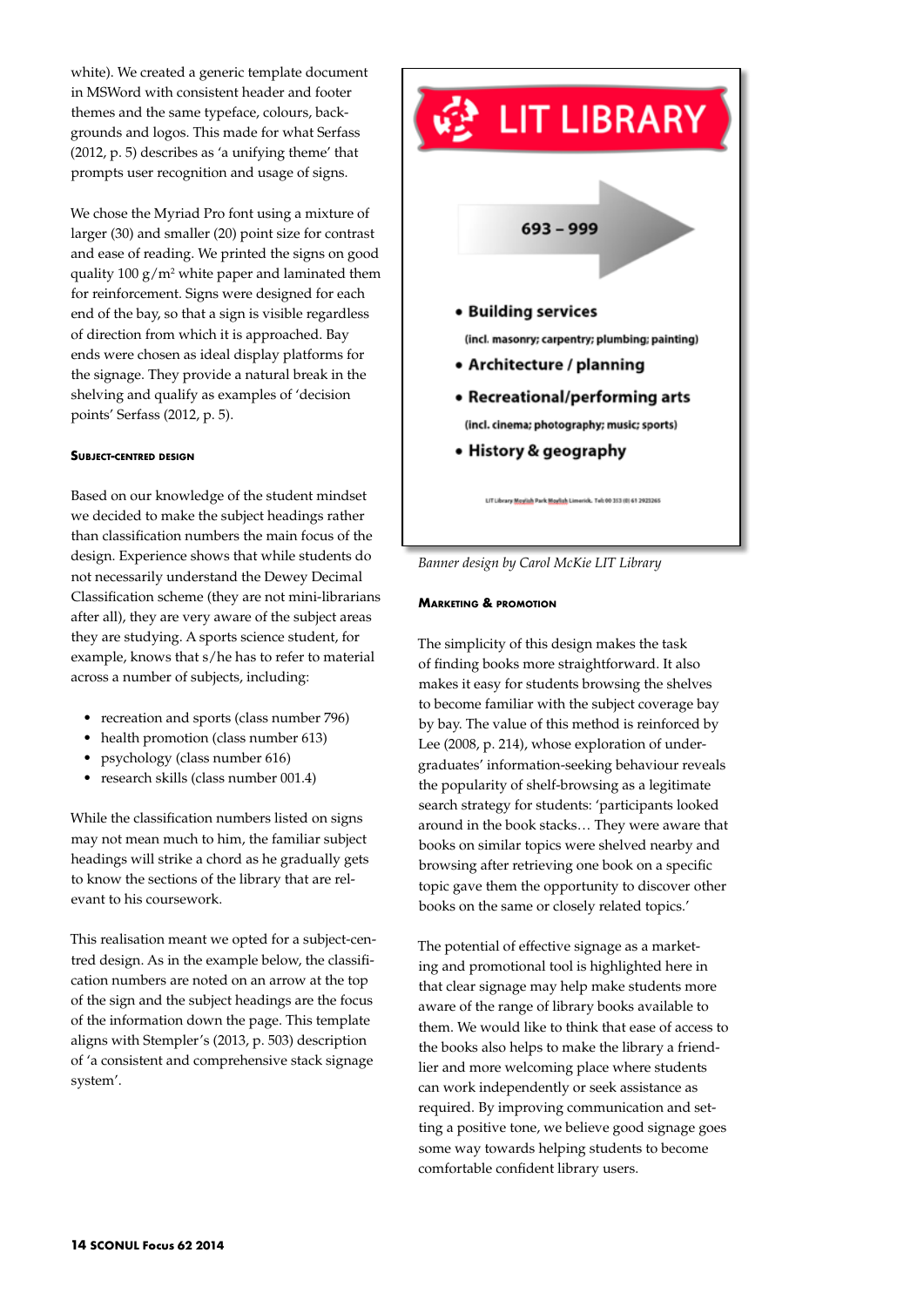white). We created a generic template document in MSWord with consistent header and footer themes and the same typeface, colours, backgrounds and logos. This made for what Serfass (2012, p. 5) describes as 'a unifying theme' that prompts user recognition and usage of signs.

We chose the Myriad Pro font using a mixture of larger (30) and smaller (20) point size for contrast and ease of reading. We printed the signs on good quality  $100 \text{ g/m}^2$  white paper and laminated them for reinforcement. Signs were designed for each end of the bay, so that a sign is visible regardless of direction from which it is approached. Bay ends were chosen as ideal display platforms for the signage. They provide a natural break in the shelving and qualify as examples of 'decision points' Serfass (2012, p. 5).

## **Subject-centred design**

Based on our knowledge of the student mindset we decided to make the subject headings rather than classification numbers the main focus of the design. Experience shows that while students do not necessarily understand the Dewey Decimal Classification scheme (they are not mini-librarians after all), they are very aware of the subject areas they are studying. A sports science student, for example, knows that s/he has to refer to material across a number of subjects, including:

- *•*  recreation and sports (class number 796)
- *•*  health promotion (class number 613)
- psychology (class number 616)
- *•*  research skills (class number 001.4)

While the classification numbers listed on signs may not mean much to him, the familiar subject headings will strike a chord as he gradually gets to know the sections of the library that are relevant to his coursework.

This realisation meant we opted for a subject-centred design. As in the example below, the classification numbers are noted on an arrow at the top of the sign and the subject headings are the focus of the information down the page. This template aligns with Stempler's (2013, p. 503) description of 'a consistent and comprehensive stack signage system'.



*Banner design by Carol McKie LIT Library*

## **Marketing & promotion**

The simplicity of this design makes the task of finding books more straightforward. It also makes it easy for students browsing the shelves to become familiar with the subject coverage bay by bay. The value of this method is reinforced by Lee (2008, p. 214), whose exploration of undergraduates' information-seeking behaviour reveals the popularity of shelf-browsing as a legitimate search strategy for students: 'participants looked around in the book stacks… They were aware that books on similar topics were shelved nearby and browsing after retrieving one book on a specific topic gave them the opportunity to discover other books on the same or closely related topics.'

The potential of effective signage as a marketing and promotional tool is highlighted here in that clear signage may help make students more aware of the range of library books available to them. We would like to think that ease of access to the books also helps to make the library a friendlier and more welcoming place where students can work independently or seek assistance as required. By improving communication and setting a positive tone, we believe good signage goes some way towards helping students to become comfortable confident library users.